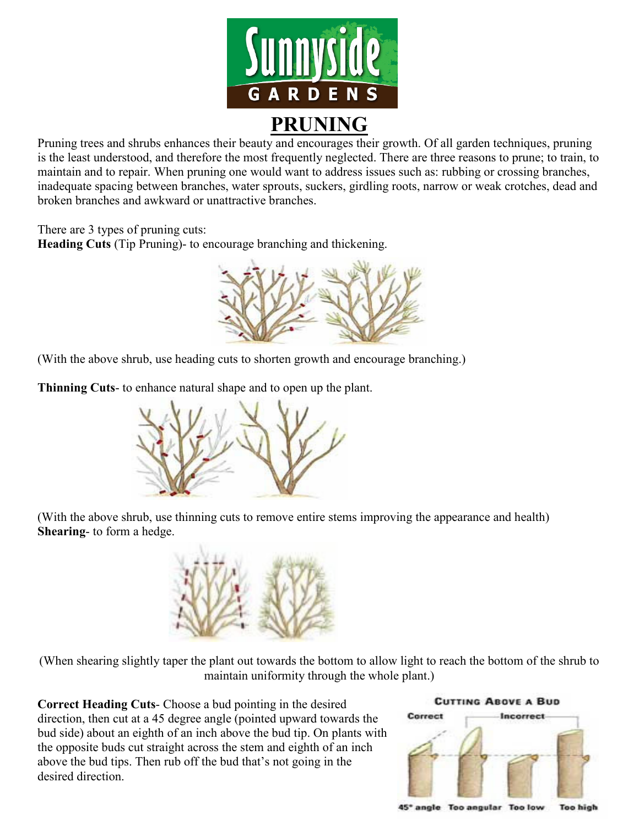

Pruning trees and shrubs enhances their beauty and encourages their growth. Of all garden techniques, pruning is the least understood, and therefore the most frequently neglected. There are three reasons to prune; to train, to maintain and to repair. When pruning one would want to address issues such as: rubbing or crossing branches, inadequate spacing between branches, water sprouts, suckers, girdling roots, narrow or weak crotches, dead and broken branches and awkward or unattractive branches.

There are 3 types of pruning cuts:

**Heading Cuts** (Tip Pruning)- to encourage branching and thickening.



(With the above shrub, use heading cuts to shorten growth and encourage branching.)

**Thinning Cuts**- to enhance natural shape and to open up the plant.



(With the above shrub, use thinning cuts to remove entire stems improving the appearance and health) **Shearing**- to form a hedge.



(When shearing slightly taper the plant out towards the bottom to allow light to reach the bottom of the shrub to maintain uniformity through the whole plant.)

**Correct Heading Cuts**- Choose a bud pointing in the desired direction, then cut at a 45 degree angle (pointed upward towards the bud side) about an eighth of an inch above the bud tip. On plants with the opposite buds cut straight across the stem and eighth of an inch above the bud tips. Then rub off the bud that's not going in the desired direction.